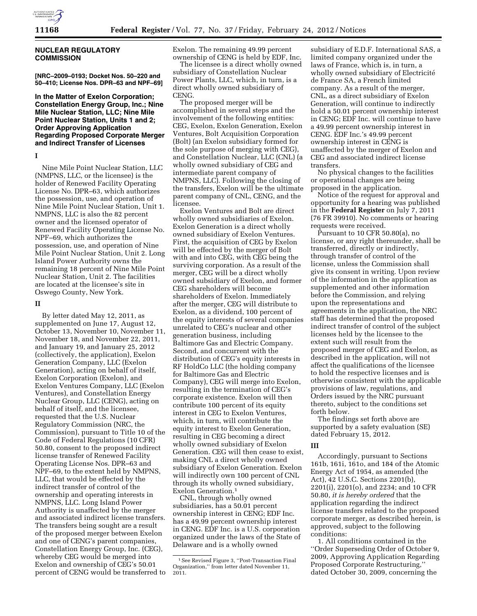

## **NUCLEAR REGULATORY COMMISSION**

**[NRC–2009–0193; Docket Nos. 50–220 and 50–410; License Nos. DPR–63 and NPF–69]** 

# **In the Matter of Exelon Corporation; Constellation Energy Group, Inc.; Nine Mile Nuclear Station, LLC; Nine Mile Point Nuclear Station, Units 1 and 2; Order Approving Application Regarding Proposed Corporate Merger and Indirect Transfer of Licenses**

## **I**

Nine Mile Point Nuclear Station, LLC (NMPNS, LLC, or the licensee) is the holder of Renewed Facility Operating License No. DPR–63, which authorizes the possession, use, and operation of Nine Mile Point Nuclear Station, Unit 1. NMPNS, LLC is also the 82 percent owner and the licensed operator of Renewed Facility Operating License No. NPF–69, which authorizes the possession, use, and operation of Nine Mile Point Nuclear Station, Unit 2. Long Island Power Authority owns the remaining 18 percent of Nine Mile Point Nuclear Station, Unit 2. The facilities are located at the licensee's site in Oswego County, New York.

#### **II**

By letter dated May 12, 2011, as supplemented on June 17, August 12, October 13, November 10, November 11, November 18, and November 22, 2011, and January 19, and January 25, 2012 (collectively, the application), Exelon Generation Company, LLC (Exelon Generation), acting on behalf of itself, Exelon Corporation (Exelon), and Exelon Ventures Company, LLC (Exelon Ventures), and Constellation Energy Nuclear Group, LLC (CENG), acting on behalf of itself, and the licensee, requested that the U.S. Nuclear Regulatory Commission (NRC, the Commission), pursuant to Title 10 of the Code of Federal Regulations (10 CFR) 50.80, consent to the proposed indirect license transfer of Renewed Facility Operating License Nos. DPR–63 and NPF–69, to the extent held by NMPNS, LLC, that would be effected by the indirect transfer of control of the ownership and operating interests in NMPNS, LLC. Long Island Power Authority is unaffected by the merger and associated indirect license transfers. The transfers being sought are a result of the proposed merger between Exelon and one of CENG's parent companies, Constellation Energy Group, Inc. (CEG), whereby CEG would be merged into Exelon and ownership of CEG's 50.01 percent of CENG would be transferred to Exelon. The remaining 49.99 percent ownership of CENG is held by EDF, Inc.

The licensee is a direct wholly owned subsidiary of Constellation Nuclear Power Plants, LLC, which, in turn, is a direct wholly owned subsidiary of CENG.

The proposed merger will be accomplished in several steps and the involvement of the following entities: CEG, Exelon, Exelon Generation, Exelon Ventures, Bolt Acquisition Corporation (Bolt) (an Exelon subsidiary formed for the sole purpose of merging with CEG), and Constellation Nuclear, LLC (CNL) (a wholly owned subsidiary of CEG and intermediate parent company of NMPNS, LLC). Following the closing of the transfers, Exelon will be the ultimate parent company of CNL, CENG, and the licensee.

Exelon Ventures and Bolt are direct wholly owned subsidiaries of Exelon. Exelon Generation is a direct wholly owned subsidiary of Exelon Ventures. First, the acquisition of CEG by Exelon will be effected by the merger of Bolt with and into CEG, with CEG being the surviving corporation. As a result of the merger, CEG will be a direct wholly owned subsidiary of Exelon, and former CEG shareholders will become shareholders of Exelon. Immediately after the merger, CEG will distribute to Exelon, as a dividend, 100 percent of the equity interests of several companies unrelated to CEG's nuclear and other generation business, including Baltimore Gas and Electric Company. Second, and concurrent with the distribution of CEG's equity interests in RF HoldCo LLC (the holding company for Baltimore Gas and Electric Company), CEG will merge into Exelon, resulting in the termination of CEG's corporate existence. Exelon will then contribute 100 percent of its equity interest in CEG to Exelon Ventures, which, in turn, will contribute the equity interest to Exelon Generation, resulting in CEG becoming a direct wholly owned subsidiary of Exelon Generation. CEG will then cease to exist, making CNL a direct wholly owned subsidiary of Exelon Generation. Exelon will indirectly own 100 percent of CNL through its wholly owned subsidiary, Exelon Generation.1

CNL, through wholly owned subsidiaries, has a 50.01 percent ownership interest in CENG; EDF Inc. has a 49.99 percent ownership interest in CENG. EDF Inc. is a U.S. corporation organized under the laws of the State of Delaware and is a wholly owned

subsidiary of E.D.F. International SAS, a limited company organized under the laws of France, which is, in turn, a wholly owned subsidiary of Electricité de France SA, a French limited company. As a result of the merger, CNL, as a direct subsidiary of Exelon Generation, will continue to indirectly hold a 50.01 percent ownership interest in CENG; EDF Inc. will continue to have a 49.99 percent ownership interest in CENG. EDF Inc.'s 49.99 percent ownership interest in CENG is unaffected by the merger of Exelon and CEG and associated indirect license transfers.

No physical changes to the facilities or operational changes are being proposed in the application.

Notice of the request for approval and opportunity for a hearing was published in the **Federal Register** on July 7, 2011 (76 FR 39910). No comments or hearing requests were received.

Pursuant to 10 CFR 50.80(a), no license, or any right thereunder, shall be transferred, directly or indirectly, through transfer of control of the license, unless the Commission shall give its consent in writing. Upon review of the information in the application as supplemented and other information before the Commission, and relying upon the representations and agreements in the application, the NRC staff has determined that the proposed indirect transfer of control of the subject licenses held by the licensee to the extent such will result from the proposed merger of CEG and Exelon, as described in the application, will not affect the qualifications of the licensee to hold the respective licenses and is otherwise consistent with the applicable provisions of law, regulations, and Orders issued by the NRC pursuant thereto, subject to the conditions set forth below.

The findings set forth above are supported by a safety evaluation (SE) dated February 15, 2012.

#### **III**

Accordingly, pursuant to Sections 161b, 161i, 161o, and 184 of the Atomic Energy Act of 1954, as amended (the Act), 42 U.S.C. Sections 2201(b), 2201(i), 2201(o), and 2234; and 10 CFR 50.80, *it is hereby ordered* that the application regarding the indirect license transfers related to the proposed corporate merger, as described herein, is approved, subject to the following conditions:

1. All conditions contained in the ''Order Superseding Order of October 9, 2009, Approving Application Regarding Proposed Corporate Restructuring,'' dated October 30, 2009, concerning the

<sup>1</sup>See Revised Figure 3, ''Post-Transaction Final Organization,'' from letter dated November 11, 2011.